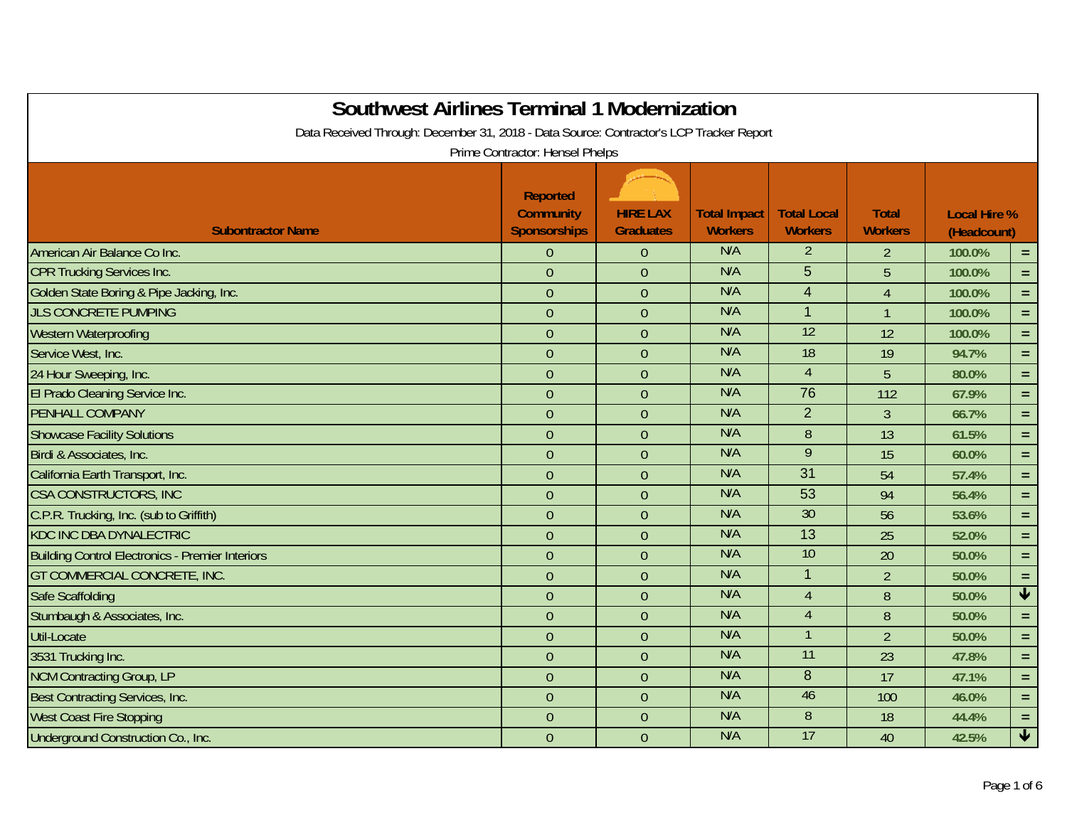| <b>Southwest Airlines Terminal 1 Modernization</b><br>Data Received Through: December 31, 2018 - Data Source: Contractor's LCP Tracker Report |                                                     |                                     |                                       |                                      |                                |                                    |                         |
|-----------------------------------------------------------------------------------------------------------------------------------------------|-----------------------------------------------------|-------------------------------------|---------------------------------------|--------------------------------------|--------------------------------|------------------------------------|-------------------------|
|                                                                                                                                               | Prime Contractor: Hensel Phelps                     |                                     |                                       |                                      |                                |                                    |                         |
| <b>Subontractor Name</b>                                                                                                                      | <b>Reported</b><br><b>Community</b><br>Sponsorships | <b>HIRE LAX</b><br><b>Graduates</b> | <b>Total Impact</b><br><b>Workers</b> | <b>Total Local</b><br><b>Workers</b> | <b>Total</b><br><b>Workers</b> | <b>Local Hire %</b><br>(Headcount) |                         |
| American Air Balance Co Inc.                                                                                                                  | $\theta$                                            | $\theta$                            | N/A                                   | $\overline{2}$                       | $\overline{2}$                 | 100.0%                             | $\equiv$                |
| <b>CPR Trucking Services Inc.</b>                                                                                                             | $\theta$                                            | $\overline{0}$                      | N/A                                   | 5                                    | 5                              | 100.0%                             | $=$ $\,$                |
| Golden State Boring & Pipe Jacking, Inc.                                                                                                      | $\overline{0}$                                      | $\overline{0}$                      | N/A                                   | $\overline{4}$                       | $\overline{4}$                 | 100.0%                             | $\equiv$                |
| <b>JLS CONCRETE PUMPING</b>                                                                                                                   | $\theta$                                            | $\overline{0}$                      | N/A                                   | $\overline{1}$                       | $\mathbf{1}$                   | 100.0%                             | $=$                     |
| Western Waterproofing                                                                                                                         | $\theta$                                            | $\overline{0}$                      | N/A                                   | $\overline{12}$                      | 12                             | 100.0%                             | $\equiv$                |
| Service West, Inc.                                                                                                                            | $\theta$                                            | $\overline{0}$                      | N/A                                   | 18                                   | 19                             | 94.7%                              | $\equiv$                |
| 24 Hour Sweeping, Inc.                                                                                                                        | $\theta$                                            | $\overline{0}$                      | N/A                                   | $\overline{4}$                       | 5                              | 80.0%                              | $=$                     |
| El Prado Cleaning Service Inc.                                                                                                                | $\theta$                                            | $\overline{0}$                      | N/A                                   | 76                                   | 112                            | 67.9%                              | $=$                     |
| PENHALL COMPANY                                                                                                                               | $\mathbf{0}$                                        | $\overline{0}$                      | N/A                                   | $\overline{2}$                       | $\overline{3}$                 | 66.7%                              | $\equiv$                |
| <b>Showcase Facility Solutions</b>                                                                                                            | $\overline{0}$                                      | $\overline{0}$                      | N/A                                   | 8                                    | 13                             | 61.5%                              | $\equiv$                |
| Birdi & Associates, Inc.                                                                                                                      | $\theta$                                            | $\overline{0}$                      | N/A                                   | 9                                    | 15                             | 60.0%                              | $=$                     |
| California Earth Transport, Inc.                                                                                                              | $\theta$                                            | $\overline{0}$                      | N/A                                   | $\overline{31}$                      | 54                             | 57.4%                              | $=$                     |
| <b>CSA CONSTRUCTORS, INC</b>                                                                                                                  | $\overline{0}$                                      | $\overline{0}$                      | N/A                                   | 53                                   | 94                             | 56.4%                              | $\equiv$                |
| C.P.R. Trucking, Inc. (sub to Griffith)                                                                                                       | $\theta$                                            | $\overline{0}$                      | N/A                                   | 30                                   | 56                             | 53.6%                              | $=$                     |
| <b>KDC INC DBA DYNALECTRIC</b>                                                                                                                | $\mathbf{0}$                                        | $\overline{0}$                      | N/A                                   | $\overline{13}$                      | 25                             | 52.0%                              | $=$                     |
| <b>Building Control Electronics - Premier Interiors</b>                                                                                       | $\overline{0}$                                      | $\overline{0}$                      | N/A                                   | 10                                   | 20                             | 50.0%                              | $\equiv$                |
| GT COMMERCIAL CONCRETE, INC.                                                                                                                  | $\theta$                                            | $\overline{0}$                      | N/A                                   | $\overline{1}$                       | $\overline{2}$                 | 50.0%                              | $\equiv$                |
| Safe Scaffolding                                                                                                                              | $\theta$                                            | $\overline{0}$                      | N/A                                   | $\overline{4}$                       | 8                              | 50.0%                              | $\overline{\mathbf{t}}$ |
| Stumbaugh & Associates, Inc.                                                                                                                  | $\theta$                                            | $\overline{0}$                      | N/A                                   | $\overline{4}$                       | 8                              | 50.0%                              | $=$                     |
| Util-Locate                                                                                                                                   | $\overline{0}$                                      | $\overline{0}$                      | N/A                                   |                                      | $\overline{2}$                 | 50.0%                              | $\equiv$                |
| 3531 Trucking Inc.                                                                                                                            | $\theta$                                            | $\overline{0}$                      | N/A                                   | 11                                   | 23                             | 47.8%                              | $=$                     |
| <b>NCM Contracting Group, LP</b>                                                                                                              | $\theta$                                            | $\overline{0}$                      | N/A                                   | 8                                    | 17                             | 47.1%                              | $=$                     |
| Best Contracting Services, Inc.                                                                                                               | $\overline{0}$                                      | $\overline{0}$                      | N/A                                   | 46                                   | 100                            | 46.0%                              | $\equiv$                |
| <b>West Coast Fire Stopping</b>                                                                                                               | $\boldsymbol{0}$                                    | $\overline{0}$                      | N/A                                   | 8                                    | 18                             | 44.4%                              | $=$                     |
| Underground Construction Co., Inc.                                                                                                            | $\mathbf{0}$                                        | $\overline{0}$                      | N/A                                   | 17                                   | 40                             | 42.5%                              | $\overline{\mathbf{v}}$ |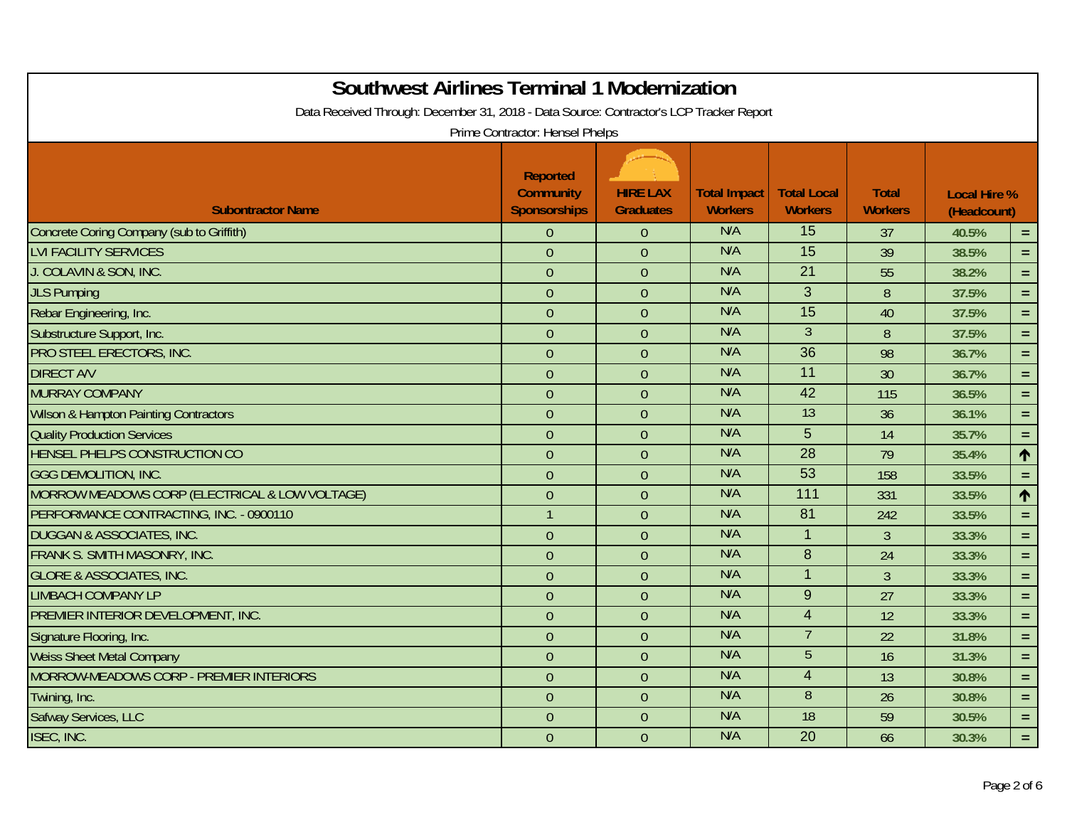| <b>Southwest Airlines Terminal 1 Modernization</b><br>Data Received Through: December 31, 2018 - Data Source: Contractor's LCP Tracker Report |                                                     |                                     |                                       |                                      |                                |                                    |            |
|-----------------------------------------------------------------------------------------------------------------------------------------------|-----------------------------------------------------|-------------------------------------|---------------------------------------|--------------------------------------|--------------------------------|------------------------------------|------------|
|                                                                                                                                               | Prime Contractor: Hensel Phelps                     |                                     |                                       |                                      |                                |                                    |            |
| <b>Subontractor Name</b>                                                                                                                      | Reported<br><b>Community</b><br><b>Sponsorships</b> | <b>HIRE LAX</b><br><b>Graduates</b> | <b>Total Impact</b><br><b>Workers</b> | <b>Total Local</b><br><b>Workers</b> | <b>Total</b><br><b>Workers</b> | <b>Local Hire %</b><br>(Headcount) |            |
| Concrete Coring Company (sub to Griffith)                                                                                                     | $\overline{0}$                                      | $\mathbf{0}$                        | N/A                                   | 15                                   | 37                             | 40.5%                              | $\equiv$   |
| <b>LVI FACILITY SERVICES</b>                                                                                                                  | $\overline{0}$                                      | $\overline{0}$                      | N/A                                   | $\overline{15}$                      | 39                             | 38.5%                              | $\equiv$   |
| J. COLAVIN & SON, INC.                                                                                                                        | $\boldsymbol{0}$                                    | $\mathbf{0}$                        | N/A                                   | 21                                   | 55                             | 38.2%                              | $\equiv$   |
| <b>JLS Pumping</b>                                                                                                                            | $\theta$                                            | $\theta$                            | N/A                                   | 3                                    | 8                              | 37.5%                              | $\equiv$   |
| Rebar Engineering, Inc.                                                                                                                       | $\overline{0}$                                      | $\overline{0}$                      | N/A                                   | $\overline{15}$                      | 40                             | 37.5%                              | $\equiv$   |
| Substructure Support, Inc.                                                                                                                    | $\mathbf{0}$                                        | $\overline{0}$                      | N/A                                   | $\overline{3}$                       | 8                              | 37.5%                              | $=$        |
| PRO STEEL ERECTORS, INC.                                                                                                                      | $\mathbf{0}$                                        | $\overline{0}$                      | N/A                                   | $\overline{36}$                      | 98                             | 36.7%                              | $\equiv$   |
| <b>DIRECT A/V</b>                                                                                                                             | $\theta$                                            | $\mathbf{0}$                        | N/A                                   | 11                                   | 30                             | 36.7%                              | $\equiv$ . |
| <b>MURRAY COMPANY</b>                                                                                                                         | $\mathbf{0}$                                        | $\overline{0}$                      | N/A                                   | $\overline{42}$                      | 115                            | 36.5%                              | $\equiv$ . |
| <b>Wilson &amp; Hampton Painting Contractors</b>                                                                                              | $\overline{0}$                                      | $\overline{0}$                      | N/A                                   | $\overline{13}$                      | 36                             | 36.1%                              | $\equiv$   |
| <b>Quality Production Services</b>                                                                                                            | $\mathbf{0}$                                        | $\mathbf{0}$                        | N/A                                   | 5                                    | 14                             | 35.7%                              | $\equiv$   |
| HENSEL PHELPS CONSTRUCTION CO                                                                                                                 | $\theta$                                            | $\overline{0}$                      | N/A                                   | 28                                   | 79                             | 35.4%                              | $\uparrow$ |
| <b>GGG DEMOLITION, INC.</b>                                                                                                                   | $\boldsymbol{0}$                                    | $\overline{0}$                      | N/A                                   | 53                                   | 158                            | 33.5%                              | $\equiv$   |
| MORROW MEADOWS CORP (ELECTRICAL & LOW VOLTAGE)                                                                                                | $\theta$                                            | $\overline{0}$                      | N/A                                   | $\overline{111}$                     | 331                            | 33.5%                              | 个          |
| PERFORMANCE CONTRACTING, INC. - 0900110                                                                                                       | $\mathbf{1}$                                        | $\overline{0}$                      | N/A                                   | 81                                   | 242                            | 33.5%                              | $\equiv$   |
| <b>DUGGAN &amp; ASSOCIATES, INC.</b>                                                                                                          | $\mathbf{0}$                                        | $\mathbf{0}$                        | N/A                                   | $\overline{1}$                       | $\mathfrak{Z}$                 | 33.3%                              | $\equiv$ . |
| FRANK S. SMITH MASONRY, INC.                                                                                                                  | $\theta$                                            | $\overline{0}$                      | N/A                                   | $\boldsymbol{8}$                     | 24                             | 33.3%                              | $\equiv$ . |
| <b>GLORE &amp; ASSOCIATES, INC.</b>                                                                                                           | $\theta$                                            | $\mathbf{0}$                        | N/A                                   | $\overline{1}$                       | $\overline{3}$                 | 33.3%                              | $\equiv$ . |
| <b>LIMBACH COMPANY LP</b>                                                                                                                     | $\theta$                                            | $\overline{0}$                      | N/A                                   | 9                                    | 27                             | 33.3%                              | $=$ $\,$   |
| PREMIER INTERIOR DEVELOPMENT, INC.                                                                                                            | $\theta$                                            | $\mathbf{0}$                        | N/A                                   | $\overline{4}$                       | 12                             | 33.3%                              | $\equiv$ . |
| Signature Flooring, Inc.                                                                                                                      | $\mathbf 0$                                         | $\overline{0}$                      | N/A                                   | $\overline{7}$                       | 22                             | 31.8%                              | $\equiv$ . |
| <b>Weiss Sheet Metal Company</b>                                                                                                              | $\theta$                                            | $\overline{0}$                      | N/A                                   | $\overline{5}$                       | 16                             | 31.3%                              | $\equiv$   |
| MORROW-MEADOWS CORP - PREMIER INTERIORS                                                                                                       | $\overline{0}$                                      | $\overline{0}$                      | N/A                                   | $\overline{4}$                       | 13                             | 30.8%                              | $\equiv$   |
| Twining, Inc.                                                                                                                                 | $\theta$                                            | $\theta$                            | N/A                                   | $\overline{8}$                       | 26                             | 30.8%                              | $\equiv$   |
| Safway Services, LLC                                                                                                                          | $\theta$                                            | $\overline{0}$                      | N/A                                   | 18                                   | 59                             | 30.5%                              | $\equiv$ . |
| ISEC, INC.                                                                                                                                    | $\theta$                                            | $\overline{0}$                      | N/A                                   | $\overline{20}$                      | 66                             | 30.3%                              | $\equiv$ . |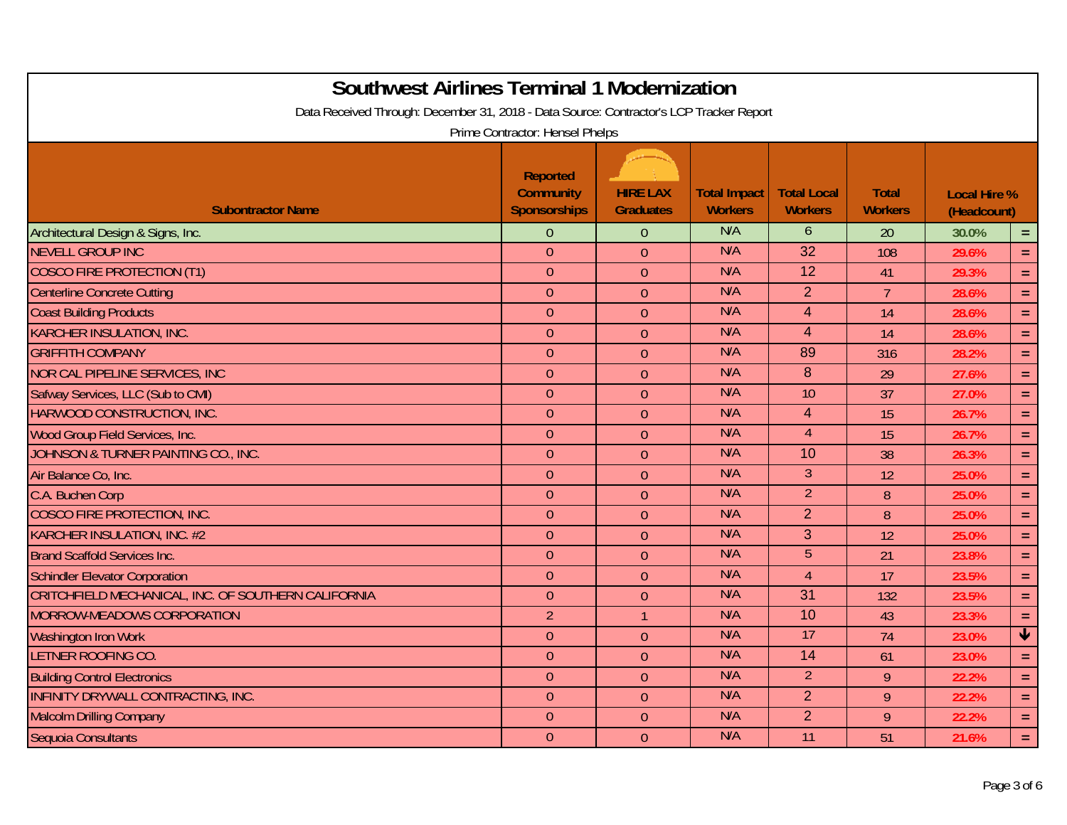| <b>Southwest Airlines Terminal 1 Modernization</b><br>Data Received Through: December 31, 2018 - Data Source: Contractor's LCP Tracker Report |                                                            |                                     |                                       |                                      |                                |                                    |                         |
|-----------------------------------------------------------------------------------------------------------------------------------------------|------------------------------------------------------------|-------------------------------------|---------------------------------------|--------------------------------------|--------------------------------|------------------------------------|-------------------------|
|                                                                                                                                               | Prime Contractor: Hensel Phelps                            |                                     |                                       |                                      |                                |                                    |                         |
| <b>Subontractor Name</b>                                                                                                                      | <b>Reported</b><br><b>Community</b><br><b>Sponsorships</b> | <b>HIRE LAX</b><br><b>Graduates</b> | <b>Total Impact</b><br><b>Workers</b> | <b>Total Local</b><br><b>Workers</b> | <b>Total</b><br><b>Workers</b> | <b>Local Hire %</b><br>(Headcount) |                         |
| Architectural Design & Signs, Inc.                                                                                                            | $\overline{0}$                                             | $\theta$                            | N/A                                   | 6                                    | 20                             | 30.0%                              | $\equiv$                |
| <b>NEVELL GROUP INC</b>                                                                                                                       | $\mathbf{0}$                                               | $\overline{0}$                      | N/A                                   | 32                                   | 108                            | 29.6%                              | $\equiv$                |
| <b>COSCO FIRE PROTECTION (T1)</b>                                                                                                             | $\theta$                                                   | $\theta$                            | N/A                                   | 12                                   | 41                             | 29.3%                              | $\equiv$                |
| <b>Centerline Concrete Cutting</b>                                                                                                            | $\theta$                                                   | $\theta$                            | N/A                                   | $\overline{2}$                       | $7\overline{ }$                | 28.6%                              | $\equiv$                |
| <b>Coast Building Products</b>                                                                                                                | $\overline{0}$                                             | $\overline{0}$                      | N/A                                   | $\overline{4}$                       | 14                             | 28.6%                              | $\equiv$                |
| <b>KARCHER INSULATION, INC.</b>                                                                                                               | $\mathbf{0}$                                               | $\theta$                            | N/A                                   | $\overline{4}$                       | 14                             | 28.6%                              | $\equiv$                |
| <b>GRIFFITH COMPANY</b>                                                                                                                       | $\theta$                                                   | $\theta$                            | N/A                                   | 89                                   | 316                            | 28.2%                              | $\equiv$                |
| NOR CAL PIPELINE SERVICES, INC                                                                                                                | $\boldsymbol{0}$                                           | $\theta$                            | N/A                                   | 8                                    | 29                             | 27.6%                              | $\equiv$                |
| Safway Services, LLC (Sub to CMI)                                                                                                             | $\mathbf{0}$                                               | $\overline{0}$                      | N/A                                   | 10                                   | 37                             | 27.0%                              | $\equiv$ .              |
| HARWOOD CONSTRUCTION, INC.                                                                                                                    | $\overline{0}$                                             | $\overline{0}$                      | N/A                                   | $\overline{4}$                       | 15                             | 26.7%                              | $\equiv$                |
| Wood Group Field Services, Inc.                                                                                                               | $\boldsymbol{0}$                                           | $\overline{0}$                      | N/A                                   | $\overline{4}$                       | 15                             | 26.7%                              | $\equiv$                |
| JOHNSON & TURNER PAINTING CO., INC.                                                                                                           | $\theta$                                                   | $\theta$                            | N/A                                   | 10                                   | 38                             | 26.3%                              | $\equiv$                |
| Air Balance Co, Inc.                                                                                                                          | $\boldsymbol{0}$                                           | $\theta$                            | N/A                                   | $\mathfrak{Z}$                       | 12                             | 25.0%                              | $\equiv$                |
| C.A. Buchen Corp                                                                                                                              | $\theta$                                                   | $\theta$                            | N/A                                   | $\overline{2}$                       | 8                              | 25.0%                              | $\equiv$                |
| <b>COSCO FIRE PROTECTION, INC.</b>                                                                                                            | $\overline{0}$                                             | $\overline{0}$                      | N/A                                   | $\overline{2}$                       | 8                              | 25.0%                              | $\equiv$                |
| KARCHER INSULATION, INC. #2                                                                                                                   | $\theta$                                                   | $\theta$                            | N/A                                   | 3                                    | 12                             | 25.0%                              | $\equiv$                |
| <b>Brand Scaffold Services Inc.</b>                                                                                                           | $\theta$                                                   | $\theta$                            | N/A                                   | $5\overline{)}$                      | 21                             | 23.8%                              | $\equiv$                |
| <b>Schindler Elevator Corporation</b>                                                                                                         | $\mathbf{0}$                                               | $\theta$                            | N/A                                   | $\overline{4}$                       | 17                             | 23.5%                              | $\equiv$                |
| CRITCHFIELD MECHANICAL, INC. OF SOUTHERN CALIFORNIA                                                                                           | $\mathbf{0}$                                               | $\overline{0}$                      | N/A                                   | $\overline{31}$                      | 132                            | 23.5%                              | $\equiv$                |
| MORROW-MEADOWS CORPORATION                                                                                                                    | $\overline{2}$                                             | $\mathbf{1}$                        | N/A                                   | 10                                   | 43                             | 23.3%                              | $\equiv$                |
| <b>Washington Iron Work</b>                                                                                                                   | $\boldsymbol{0}$                                           | $\overline{0}$                      | N/A                                   | 17                                   | 74                             | 23.0%                              | $\overline{\mathbf{v}}$ |
| <b>LETNER ROOFING CO.</b>                                                                                                                     | $\theta$                                                   | $\overline{0}$                      | N/A                                   | 14                                   | 61                             | 23.0%                              | $\equiv$                |
| <b>Building Control Electronics</b>                                                                                                           | $\overline{0}$                                             | $\overline{0}$                      | N/A                                   | $\overline{2}$                       | 9                              | 22.2%                              | $\equiv$                |
| INFINITY DRYWALL CONTRACTING, INC.                                                                                                            | $\theta$                                                   | $\theta$                            | N/A                                   | $\overline{2}$                       | 9                              | 22.2%                              | $\equiv$                |
| <b>Malcolm Drilling Company</b>                                                                                                               | $\theta$                                                   | $\theta$                            | N/A                                   | $\overline{2}$                       | 9                              | 22.2%                              | $\equiv$ .              |
| Sequoia Consultants                                                                                                                           | $\mathbf{0}$                                               | $\overline{0}$                      | N/A                                   | 11                                   | 51                             | 21.6%                              | $\equiv$ .              |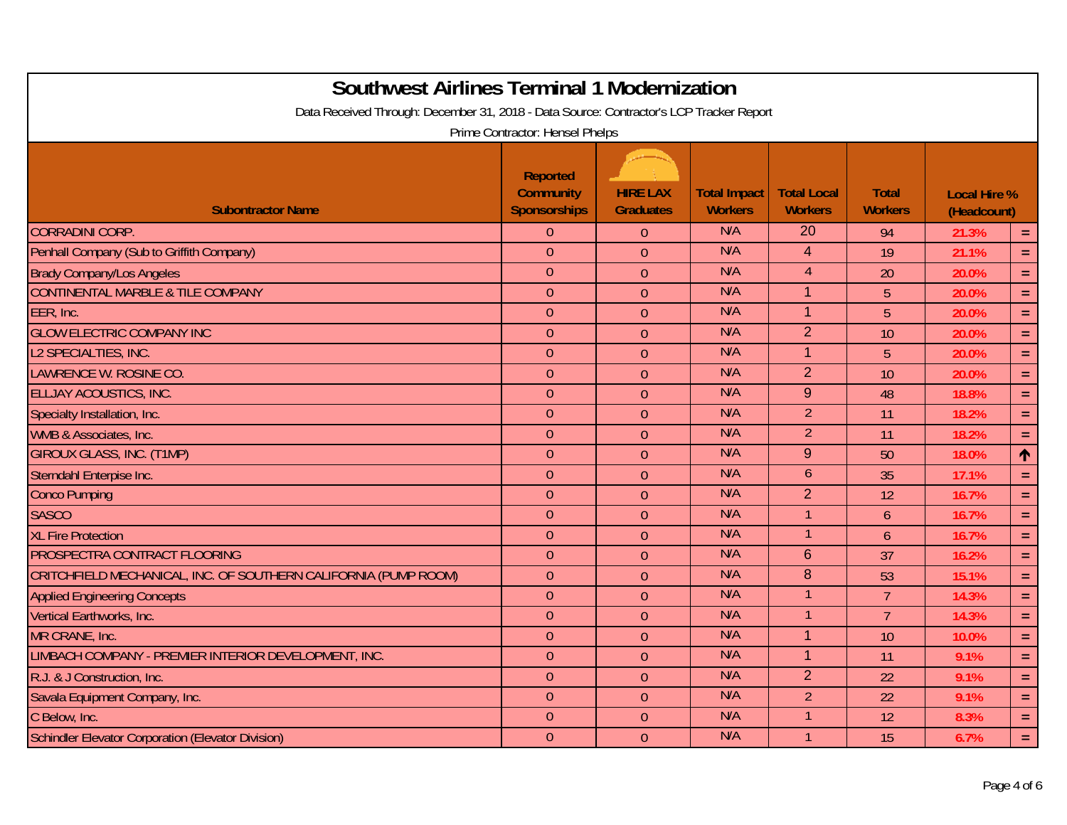| <b>Southwest Airlines Terminal 1 Modernization</b><br>Data Received Through: December 31, 2018 - Data Source: Contractor's LCP Tracker Report |                                                            |                                     |                                       |                                      |                                |                                    |            |
|-----------------------------------------------------------------------------------------------------------------------------------------------|------------------------------------------------------------|-------------------------------------|---------------------------------------|--------------------------------------|--------------------------------|------------------------------------|------------|
|                                                                                                                                               | Prime Contractor: Hensel Phelps                            |                                     |                                       |                                      |                                |                                    |            |
| <b>Subontractor Name</b>                                                                                                                      | <b>Reported</b><br><b>Community</b><br><b>Sponsorships</b> | <b>HIRE LAX</b><br><b>Graduates</b> | <b>Total Impact</b><br><b>Workers</b> | <b>Total Local</b><br><b>Workers</b> | <b>Total</b><br><b>Workers</b> | <b>Local Hire %</b><br>(Headcount) |            |
| <b>CORRADINI CORP.</b>                                                                                                                        | $\theta$                                                   | $\theta$                            | N/A                                   | 20                                   | 94                             | 21.3%                              | $\equiv$   |
| Penhall Company (Sub to Griffith Company)                                                                                                     | $\theta$                                                   | $\overline{0}$                      | N/A                                   | $\overline{4}$                       | 19                             | 21.1%                              | $\equiv$   |
| <b>Brady Company/Los Angeles</b>                                                                                                              | $\theta$                                                   | $\theta$                            | N/A                                   | $\overline{4}$                       | 20                             | 20.0%                              | $\equiv$   |
| <b>CONTINENTAL MARBLE &amp; TILE COMPANY</b>                                                                                                  | $\theta$                                                   | $\theta$                            | N/A                                   | $\overline{1}$                       | 5                              | 20.0%                              | $\equiv$   |
| EER, Inc.                                                                                                                                     | $\overline{0}$                                             | $\overline{0}$                      | N/A                                   | $\overline{1}$                       | 5                              | 20.0%                              | $\equiv$   |
| <b>GLOW ELECTRIC COMPANY INC</b>                                                                                                              | $\mathbf{0}$                                               | $\overline{0}$                      | N/A                                   | $\overline{2}$                       | 10                             | 20.0%                              | $\equiv$   |
| L2 SPECIALTIES, INC.                                                                                                                          | $\theta$                                                   | $\theta$                            | N/A                                   | $\overline{1}$                       | 5                              | 20.0%                              | $\equiv$   |
| LAWRENCE W. ROSINE CO.                                                                                                                        | $\boldsymbol{0}$                                           | $\theta$                            | N/A                                   | 2                                    | 10                             | 20.0%                              | $\equiv$   |
| <b>ELLJAY ACOUSTICS, INC.</b>                                                                                                                 | $\mathbf{0}$                                               | $\overline{0}$                      | N/A                                   | 9                                    | 48                             | 18.8%                              | $\equiv$   |
| Specialty Installation, Inc.                                                                                                                  | $\overline{0}$                                             | $\overline{0}$                      | N/A                                   | $\overline{2}$                       | 11                             | 18.2%                              | $\equiv$   |
| WMB & Associates, Inc.                                                                                                                        | $\boldsymbol{0}$                                           | $\overline{0}$                      | N/A                                   | $\overline{2}$                       | 11                             | 18.2%                              | $\equiv$   |
| <b>GIROUX GLASS, INC. (T1MP)</b>                                                                                                              | $\theta$                                                   | $\theta$                            | N/A                                   | 9                                    | 50                             | 18.0%                              | 个          |
| Sterndahl Enterpise Inc.                                                                                                                      | $\theta$                                                   | $\theta$                            | N/A                                   | 6                                    | 35                             | 17.1%                              | $\equiv$   |
| <b>Conco Pumping</b>                                                                                                                          | $\theta$                                                   | $\theta$                            | N/A                                   | $\overline{2}$                       | 12                             | 16.7%                              | $\equiv$   |
| <b>SASCO</b>                                                                                                                                  | $\theta$                                                   | $\overline{0}$                      | N/A                                   | $\overline{1}$                       | $\overline{6}$                 | 16.7%                              | $\equiv$   |
| <b>XL Fire Protection</b>                                                                                                                     | $\theta$                                                   | $\theta$                            | N/A                                   | $\mathbf{1}$                         | 6                              | 16.7%                              | $\equiv$   |
| PROSPECTRA CONTRACT FLOORING                                                                                                                  | $\theta$                                                   | $\theta$                            | N/A                                   | 6                                    | 37                             | 16.2%                              | $\equiv$   |
| CRITCHFIELD MECHANICAL, INC. OF SOUTHERN CALIFORNIA (PUMP ROOM)                                                                               | $\theta$                                                   | $\theta$                            | N/A                                   | 8                                    | 53                             | 15.1%                              | $\equiv$   |
| <b>Applied Engineering Concepts</b>                                                                                                           | $\mathbf{0}$                                               | $\overline{0}$                      | N/A                                   |                                      | $\overline{7}$                 | 14.3%                              | $\equiv$   |
| Vertical Earthworks, Inc.                                                                                                                     | $\mathbf{0}$                                               | $\overline{0}$                      | N/A                                   | $\mathbf 1$                          | $\overline{7}$                 | 14.3%                              | $\equiv$ . |
| MR CRANE, Inc.                                                                                                                                | $\theta$                                                   | $\overline{0}$                      | N/A                                   | $\overline{1}$                       | 10                             | 10.0%                              | $\equiv$   |
| LIMBACH COMPANY - PREMIER INTERIOR DEVELOPMENT, INC.                                                                                          | $\theta$                                                   | $\overline{0}$                      | N/A                                   | $\overline{1}$                       | 11                             | 9.1%                               | $\equiv$   |
| R.J. & J Construction, Inc.                                                                                                                   | $\overline{0}$                                             | $\overline{0}$                      | N/A                                   | $\overline{2}$                       | 22                             | 9.1%                               | $\equiv$   |
| Savala Equipment Company, Inc.                                                                                                                | $\mathbf{0}$                                               | $\theta$                            | N/A                                   | $\overline{2}$                       | 22                             | 9.1%                               | $\equiv$   |
| C Below, Inc.                                                                                                                                 | $\theta$                                                   | $\theta$                            | N/A                                   | $\overline{1}$                       | 12                             | 8.3%                               | $\equiv$ . |
| Schindler Elevator Corporation (Elevator Division)                                                                                            | $\mathbf{0}$                                               | $\overline{0}$                      | N/A                                   | $\overline{1}$                       | 15                             | 6.7%                               | $\equiv$ . |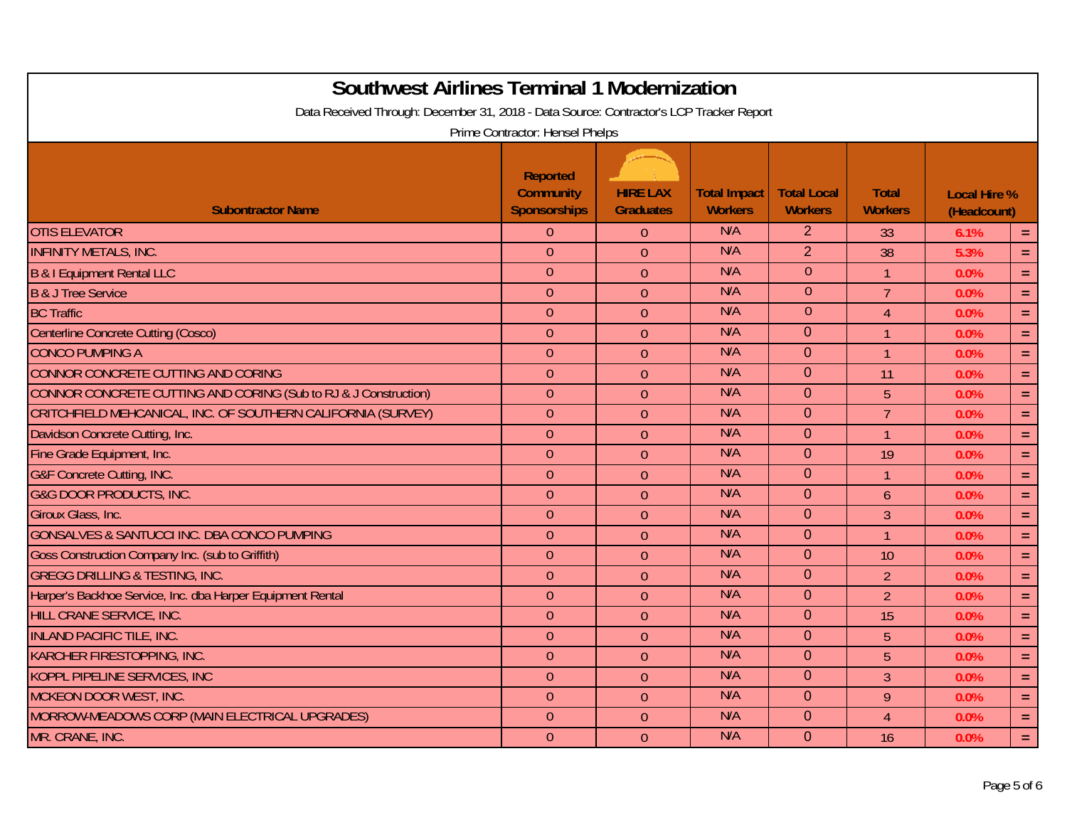| <b>Southwest Airlines Terminal 1 Modernization</b><br>Data Received Through: December 31, 2018 - Data Source: Contractor's LCP Tracker Report | Prime Contractor: Hensel Phelps                            |                                     |                                       |                                      |                                |                                    |            |
|-----------------------------------------------------------------------------------------------------------------------------------------------|------------------------------------------------------------|-------------------------------------|---------------------------------------|--------------------------------------|--------------------------------|------------------------------------|------------|
| <b>Subontractor Name</b>                                                                                                                      | <b>Reported</b><br><b>Community</b><br><b>Sponsorships</b> | <b>HIRE LAX</b><br><b>Graduates</b> | <b>Total Impact</b><br><b>Workers</b> | <b>Total Local</b><br><b>Workers</b> | <b>Total</b><br><b>Workers</b> | <b>Local Hire %</b><br>(Headcount) |            |
| <b>OTIS ELEVATOR</b>                                                                                                                          | $\overline{0}$                                             | $\theta$                            | N/A                                   | 2                                    | 33                             | 6.1%                               | $\equiv$   |
| <b>INFINITY METALS, INC.</b>                                                                                                                  | $\theta$                                                   | $\overline{0}$                      | N/A                                   | $\overline{2}$                       | 38                             | 5.3%                               | $\equiv$   |
| <b>B &amp; I Equipment Rental LLC</b>                                                                                                         | $\theta$                                                   | $\theta$                            | N/A                                   | $\theta$                             | $\mathbf{1}$                   | 0.0%                               | $\equiv$   |
| <b>B &amp; J Tree Service</b>                                                                                                                 | $\theta$                                                   | $\theta$                            | N/A                                   | $\theta$                             | $\overline{7}$                 | 0.0%                               | $\equiv$ . |
| <b>BC Traffic</b>                                                                                                                             | $\overline{0}$                                             | $\theta$                            | N/A                                   | $\overline{0}$                       | $\overline{4}$                 | 0.0%                               | $\equiv$   |
| <b>Centerline Concrete Cutting (Cosco)</b>                                                                                                    | $\theta$                                                   | $\theta$                            | N/A                                   | $\overline{0}$                       | $\mathbf{1}$                   | 0.0%                               | $\equiv$   |
| <b>CONCO PUMPING A</b>                                                                                                                        | $\theta$                                                   | $\theta$                            | N/A                                   | $\Omega$                             | $\mathbf{1}$                   | 0.0%                               | $\equiv$   |
| CONNOR CONCRETE CUTTING AND CORING                                                                                                            | $\boldsymbol{0}$                                           | $\theta$                            | N/A                                   | $\Omega$                             | 11                             | 0.0%                               | $\equiv$ . |
| CONNOR CONCRETE CUTTING AND CORING (Sub to RJ & J Construction)                                                                               | $\theta$                                                   | $\overline{0}$                      | N/A                                   | $\overline{0}$                       | 5                              | 0.0%                               | $\equiv$ . |
| CRITCHFIELD MEHCANICAL, INC. OF SOUTHERN CALIFORNIA (SURVEY)                                                                                  | $\theta$                                                   | $\overline{0}$                      | N/A                                   | $\overline{0}$                       | $\overline{7}$                 | 0.0%                               | $\equiv$   |
| Davidson Concrete Cutting, Inc.                                                                                                               | $\theta$                                                   | $\overline{0}$                      | N/A                                   | $\Omega$                             | $\mathbf{1}$                   | 0.0%                               | $\equiv$   |
| Fine Grade Equipment, Inc.                                                                                                                    | $\theta$                                                   | $\theta$                            | N/A                                   | $\overline{0}$                       | 19                             | 0.0%                               | $\equiv$   |
| <b>G&amp;F Concrete Cutting, INC.</b>                                                                                                         | $\theta$                                                   | $\overline{0}$                      | N/A                                   | $\Omega$                             | $\mathbf{1}$                   | 0.0%                               | $\equiv$ . |
| <b>G&amp;G DOOR PRODUCTS, INC.</b>                                                                                                            | $\mathbf{0}$                                               | $\overline{0}$                      | N/A                                   | $\Omega$                             | $\mathfrak b$                  | 0.0%                               | $\equiv$   |
| Giroux Glass, Inc.                                                                                                                            | $\theta$                                                   | $\overline{0}$                      | N/A                                   | $\Omega$                             | 3                              | 0.0%                               | $\equiv$   |
| GONSALVES & SANTUCCI INC. DBA CONCO PUMPING                                                                                                   | $\theta$                                                   | $\theta$                            | N/A                                   | $\Omega$                             | $\overline{1}$                 | 0.0%                               | $\equiv$   |
| Goss Construction Company Inc. (sub to Griffith)                                                                                              | $\theta$                                                   | $\overline{0}$                      | N/A                                   | $\Omega$                             | 10                             | 0.0%                               | $\equiv$ . |
| <b>GREGG DRILLING &amp; TESTING, INC.</b>                                                                                                     | $\overline{0}$                                             | $\theta$                            | N/A                                   | $\Omega$                             | $\overline{2}$                 | 0.0%                               | $\equiv$ . |
| Harper's Backhoe Service, Inc. dba Harper Equipment Rental                                                                                    | $\theta$                                                   | $\overline{0}$                      | N/A                                   | $\mathbf{0}$                         | $\overline{2}$                 | 0.0%                               | $\equiv$   |
| HILL CRANE SERVICE, INC.                                                                                                                      | $\theta$                                                   | $\theta$                            | N/A                                   | $\Omega$                             | 15                             | 0.0%                               | $\equiv$   |
| <b>INLAND PACIFIC TILE, INC.</b>                                                                                                              | $\theta$                                                   | $\theta$                            | N/A                                   | $\mathbf 0$                          | 5                              | 0.0%                               | $\equiv$   |
| KARCHER FIRESTOPPING, INC.                                                                                                                    | $\mathbf{0}$                                               | $\overline{0}$                      | N/A                                   | $\Omega$                             | 5                              | 0.0%                               | $\equiv$ . |
| <b>KOPPL PIPELINE SERVICES, INC</b>                                                                                                           | $\theta$                                                   | $\theta$                            | N/A                                   | $\overline{0}$                       | 3                              | 0.0%                               | $\equiv$   |
| MCKEON DOOR WEST, INC.                                                                                                                        | $\theta$                                                   | $\overline{0}$                      | N/A                                   | $\Omega$                             | 9                              | 0.0%                               | $\equiv$   |
| MORROW-MEADOWS CORP (MAIN ELECTRICAL UPGRADES)                                                                                                | $\theta$                                                   | $\theta$                            | N/A                                   | $\overline{0}$                       | $\overline{4}$                 | 0.0%                               | $\equiv$   |
| MR. CRANE, INC.                                                                                                                               | $\overline{0}$                                             | $\overline{0}$                      | N/A                                   | $\mathbf{0}$                         | 16                             | 0.0%                               | $\equiv$ . |